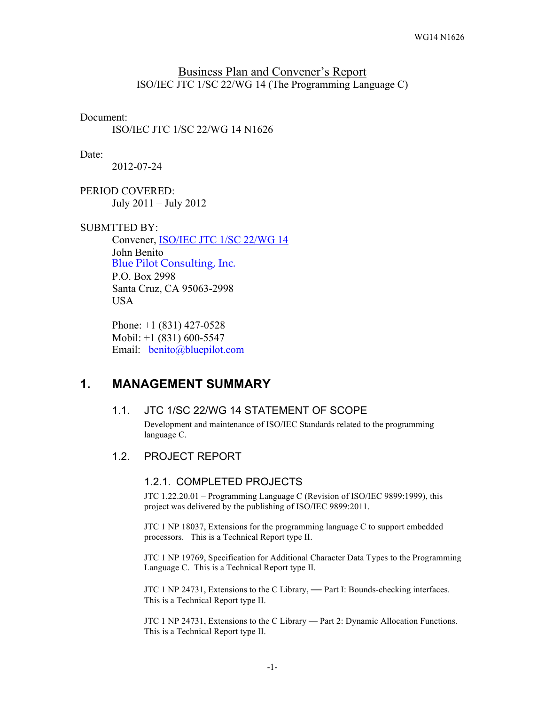## Business Plan and Convener's Report ISO/IEC JTC 1/SC 22/WG 14 (The Programming Language C)

#### Document:

ISO/IEC JTC 1/SC 22/WG 14 N1626

#### Date:

2012-07-24

PERIOD COVERED: July 2011 – July 2012

#### SUBMTTED BY:

Convener, ISO/IEC JTC 1/SC 22/WG 14 John Benito Blue Pilot Consulting, Inc. P.O. Box 2998 Santa Cruz, CA 95063-2998 **USA** 

Phone: +1 (831) 427-0528 Mobil: +1 (831) 600-5547 Email: benito@bluepilot.com

# **1. MANAGEMENT SUMMARY**

### 1.1. JTC 1/SC 22/WG 14 STATEMENT OF SCOPE

Development and maintenance of ISO/IEC Standards related to the programming language C.

### 1.2. PROJECT REPORT

### 1.2.1. COMPLETED PROJECTS

JTC 1.22.20.01 – Programming Language C (Revision of ISO/IEC 9899:1999), this project was delivered by the publishing of ISO/IEC 9899:2011.

JTC 1 NP 18037, Extensions for the programming language C to support embedded processors. This is a Technical Report type II.

JTC 1 NP 19769, Specification for Additional Character Data Types to the Programming Language C. This is a Technical Report type II.

JTC 1 NP 24731, Extensions to the C Library, **—** Part I: Bounds-checking interfaces. This is a Technical Report type II.

JTC 1 NP 24731, Extensions to the C Library — Part 2: Dynamic Allocation Functions. This is a Technical Report type II.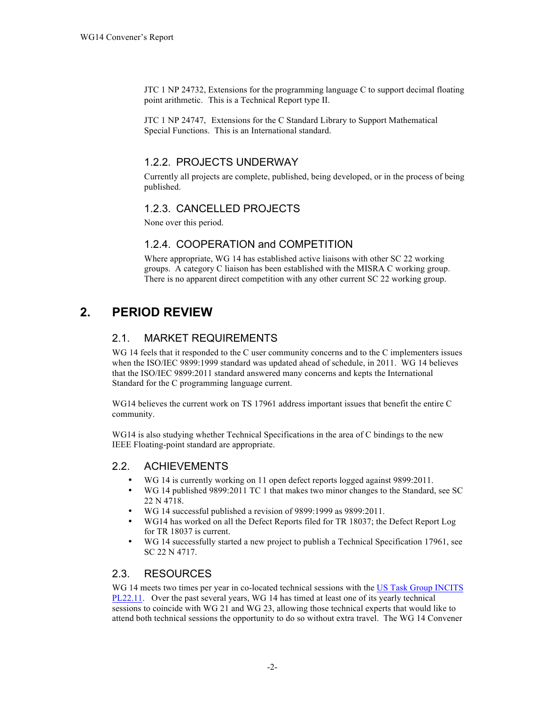JTC 1 NP 24732, Extensions for the programming language C to support decimal floating point arithmetic. This is a Technical Report type II.

JTC 1 NP 24747, Extensions for the C Standard Library to Support Mathematical Special Functions. This is an International standard.

# 1.2.2. PROJECTS UNDERWAY

Currently all projects are complete, published, being developed, or in the process of being published.

# 1.2.3. CANCELLED PROJECTS

None over this period.

## 1.2.4. COOPERATION and COMPETITION

Where appropriate, WG 14 has established active liaisons with other SC 22 working groups. A category C liaison has been established with the MISRA C working group. There is no apparent direct competition with any other current SC 22 working group.

# **2. PERIOD REVIEW**

# 2.1. MARKET REQUIREMENTS

WG 14 feels that it responded to the C user community concerns and to the C implementers issues when the ISO/IEC 9899:1999 standard was updated ahead of schedule, in 2011. WG 14 believes that the ISO/IEC 9899:2011 standard answered many concerns and kepts the International Standard for the C programming language current.

WG14 believes the current work on TS 17961 address important issues that benefit the entire C community.

WG14 is also studying whether Technical Specifications in the area of C bindings to the new IEEE Floating-point standard are appropriate.

## 2.2. ACHIEVEMENTS

- WG 14 is currently working on 11 open defect reports logged against 9899:2011.
- WG 14 published 9899:2011 TC 1 that makes two minor changes to the Standard, see SC 22 N 4718.
- WG 14 successful published a revision of 9899:1999 as 9899:2011.
- WG14 has worked on all the Defect Reports filed for TR 18037; the Defect Report Log for TR 18037 is current.
- WG 14 successfully started a new project to publish a Technical Specification 17961, see SC 22 N 4717.

# 2.3. RESOURCES

WG 14 meets two times per year in co-located technical sessions with the US Task Group INCITS PL22.11. Over the past several years, WG 14 has timed at least one of its yearly technical sessions to coincide with WG 21 and WG 23, allowing those technical experts that would like to attend both technical sessions the opportunity to do so without extra travel. The WG 14 Convener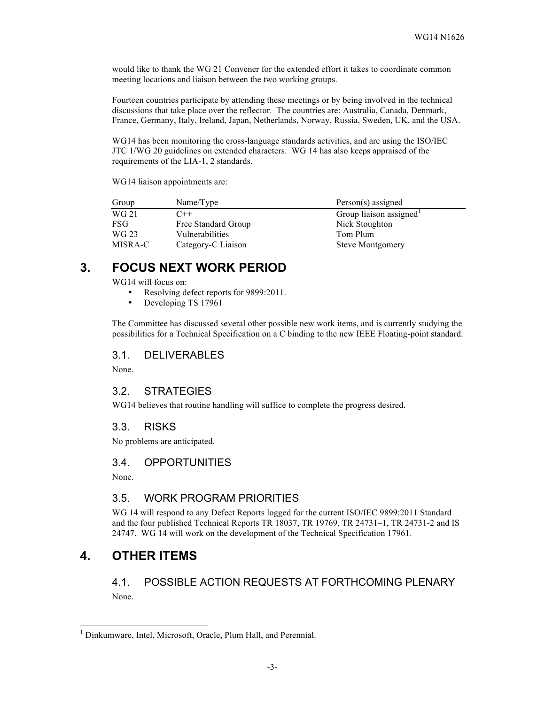would like to thank the WG 21 Convener for the extended effort it takes to coordinate common meeting locations and liaison between the two working groups.

Fourteen countries participate by attending these meetings or by being involved in the technical discussions that take place over the reflector. The countries are: Australia, Canada, Denmark, France, Germany, Italy, Ireland, Japan, Netherlands, Norway, Russia, Sweden, UK, and the USA.

WG14 has been monitoring the cross-language standards activities, and are using the ISO/IEC JTC 1/WG 20 guidelines on extended characters. WG 14 has also keeps appraised of the requirements of the LIA-1, 2 standards.

WG14 liaison appointments are:

| Group      | Name/Type           | $Person(s)$ assigned    |
|------------|---------------------|-------------------------|
| WG 21      | $C++$               | Group liaison assigned  |
| <b>FSG</b> | Free Standard Group | Nick Stoughton          |
| WG 23      | Vulnerabilities     | Tom Plum                |
| MISRA-C    | Category-C Liaison  | <b>Steve Montgomery</b> |

# **3. FOCUS NEXT WORK PERIOD**

WG14 will focus on:

- Resolving defect reports for 9899:2011.<br>• Developing TS 17961
- Developing TS 17961

The Committee has discussed several other possible new work items, and is currently studying the possibilities for a Technical Specification on a C binding to the new IEEE Floating-point standard.

#### 3.1. DELIVERABLES

None.

### 3.2. STRATEGIES

WG14 believes that routine handling will suffice to complete the progress desired.

### 3.3. RISKS

No problems are anticipated.

#### 3.4. OPPORTUNITIES

None.

### 3.5. WORK PROGRAM PRIORITIES

WG 14 will respond to any Defect Reports logged for the current ISO/IEC 9899:2011 Standard and the four published Technical Reports TR 18037, TR 19769, TR 24731–1, TR 24731-2 and IS 24747. WG 14 will work on the development of the Technical Specification 17961.

# **4. OTHER ITEMS**

# 4.1. POSSIBLE ACTION REQUESTS AT FORTHCOMING PLENARY None.

 <sup>1</sup> Dinkumware, Intel, Microsoft, Oracle, Plum Hall, and Perennial.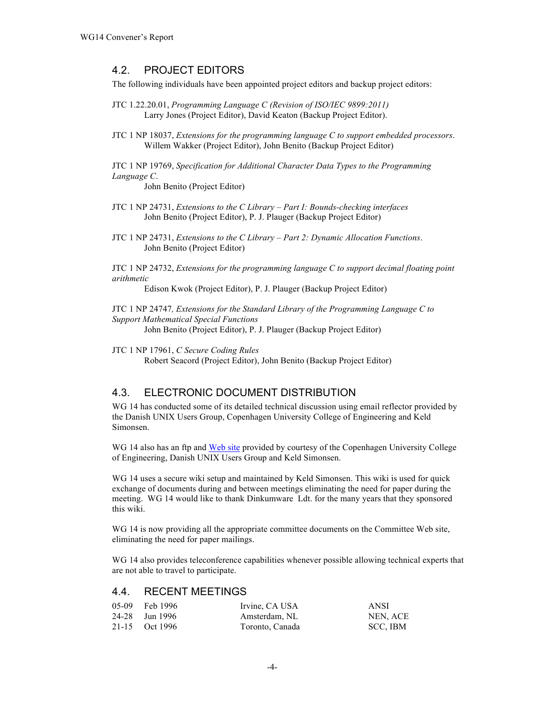## 4.2. PROJECT EDITORS

The following individuals have been appointed project editors and backup project editors:

- JTC 1.22.20.01, *Programming Language C (Revision of ISO/IEC 9899:2011)* Larry Jones (Project Editor), David Keaton (Backup Project Editor).
- JTC 1 NP 18037, *Extensions for the programming language C to support embedded processors*. Willem Wakker (Project Editor), John Benito (Backup Project Editor)

JTC 1 NP 19769, *Specification for Additional Character Data Types to the Programming Language C*.

John Benito (Project Editor)

JTC 1 NP 24731, *Extensions to the C Library – Part I: Bounds-checking interfaces* John Benito (Project Editor), P. J. Plauger (Backup Project Editor)

JTC 1 NP 24731, *Extensions to the C Library – Part 2: Dynamic Allocation Functions*. John Benito (Project Editor)

JTC 1 NP 24732, *Extensions for the programming language C to support decimal floating point arithmetic*

Edison Kwok (Project Editor), P. J. Plauger (Backup Project Editor)

JTC 1 NP 24747*, Extensions for the Standard Library of the Programming Language C to Support Mathematical Special Functions*

John Benito (Project Editor), P. J. Plauger (Backup Project Editor)

JTC 1 NP 17961, *C Secure Coding Rules* Robert Seacord (Project Editor), John Benito (Backup Project Editor)

## 4.3. ELECTRONIC DOCUMENT DISTRIBUTION

WG 14 has conducted some of its detailed technical discussion using email reflector provided by the Danish UNIX Users Group, Copenhagen University College of Engineering and Keld Simonsen.

WG 14 also has an ftp and Web site provided by courtesy of the Copenhagen University College of Engineering, Danish UNIX Users Group and Keld Simonsen.

WG 14 uses a secure wiki setup and maintained by Keld Simonsen. This wiki is used for quick exchange of documents during and between meetings eliminating the need for paper during the meeting. WG 14 would like to thank Dinkumware Ldt. for the many years that they sponsored this wiki.

WG 14 is now providing all the appropriate committee documents on the Committee Web site, eliminating the need for paper mailings.

WG 14 also provides teleconference capabilities whenever possible allowing technical experts that are not able to travel to participate.

## 4.4. RECENT MEETINGS

| 05-09 Feb 1996 | Irvine, CA USA  | ANSI     |
|----------------|-----------------|----------|
| 24-28 Jun 1996 | Amsterdam, NL   | NEN, ACE |
| 21-15 Oct 1996 | Toronto, Canada | SCC, IBM |